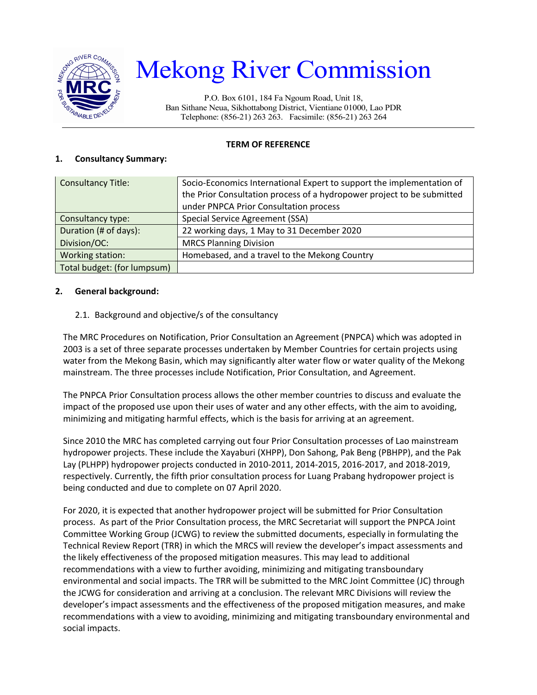

# Mekong River Commission

P.O. Box 6101, 184 Fa Ngoum Road, Unit 18, Ban Sithane Neua, Sikhottabong District, Vientiane 01000, Lao PDR Telephone: (856-21) 263 263. Facsimile: (856-21) 263 264

#### **TERM OF REFERENCE**

#### **1. Consultancy Summary:**

| <b>Consultancy Title:</b>   | Socio-Economics International Expert to support the implementation of  |  |
|-----------------------------|------------------------------------------------------------------------|--|
|                             | the Prior Consultation process of a hydropower project to be submitted |  |
|                             | under PNPCA Prior Consultation process                                 |  |
| Consultancy type:           | Special Service Agreement (SSA)                                        |  |
| Duration (# of days):       | 22 working days, 1 May to 31 December 2020                             |  |
| Division/OC:                | <b>MRCS Planning Division</b>                                          |  |
| Working station:            | Homebased, and a travel to the Mekong Country                          |  |
| Total budget: (for lumpsum) |                                                                        |  |

#### **2. General background:**

#### 2.1. Background and objective/s of the consultancy

The MRC Procedures on Notification, Prior Consultation an Agreement (PNPCA) which was adopted in 2003 is a set of three separate processes undertaken by Member Countries for certain projects using water from the Mekong Basin, which may significantly alter water flow or water quality of the Mekong mainstream. The three processes include Notification, Prior Consultation, and Agreement.

The PNPCA Prior Consultation process allows the other member countries to discuss and evaluate the impact of the proposed use upon their uses of water and any other effects, with the aim to avoiding, minimizing and mitigating harmful effects, which is the basis for arriving at an agreement.

Since 2010 the MRC has completed carrying out four Prior Consultation processes of Lao mainstream hydropower projects. These include the Xayaburi (XHPP), Don Sahong, Pak Beng (PBHPP), and the Pak Lay (PLHPP) hydropower projects conducted in 2010-2011, 2014-2015, 2016-2017, and 2018-2019, respectively. Currently, the fifth prior consultation process for Luang Prabang hydropower project is being conducted and due to complete on 07 April 2020.

For 2020, it is expected that another hydropower project will be submitted for Prior Consultation process. As part of the Prior Consultation process, the MRC Secretariat will support the PNPCA Joint Committee Working Group (JCWG) to review the submitted documents, especially in formulating the Technical Review Report (TRR) in which the MRCS will review the developer's impact assessments and the likely effectiveness of the proposed mitigation measures. This may lead to additional recommendations with a view to further avoiding, minimizing and mitigating transboundary environmental and social impacts. The TRR will be submitted to the MRC Joint Committee (JC) through the JCWG for consideration and arriving at a conclusion. The relevant MRC Divisions will review the developer's impact assessments and the effectiveness of the proposed mitigation measures, and make recommendations with a view to avoiding, minimizing and mitigating transboundary environmental and social impacts.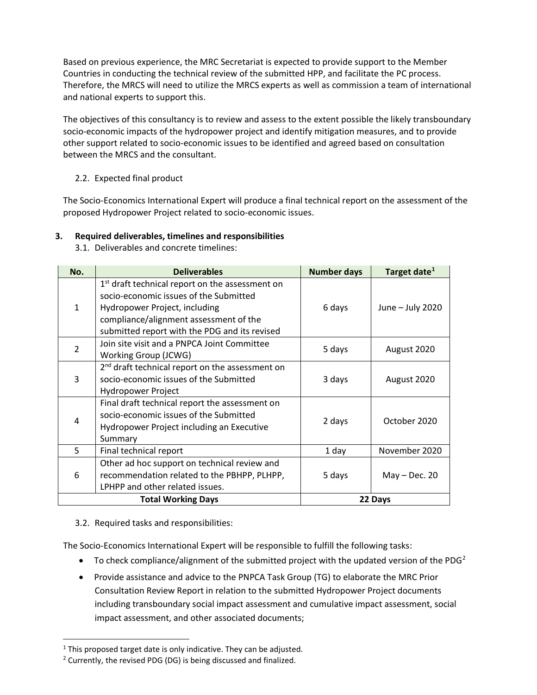Based on previous experience, the MRC Secretariat is expected to provide support to the Member Countries in conducting the technical review of the submitted HPP, and facilitate the PC process. Therefore, the MRCS will need to utilize the MRCS experts as well as commission a team of international and national experts to support this.

The objectives of this consultancy is to review and assess to the extent possible the likely transboundary socio-economic impacts of the hydropower project and identify mitigation measures, and to provide other support related to socio-economic issues to be identified and agreed based on consultation between the MRCS and the consultant.

## 2.2. Expected final product

The Socio-Economics International Expert will produce a final technical report on the assessment of the proposed Hydropower Project related to socio-economic issues.

## **3. Required deliverables, timelines and responsibilities**

3.1. Deliverables and concrete timelines:

| No.                       | <b>Deliverables</b>                                                                                                                                                                                                               | <b>Number days</b> | Target date <sup>1</sup> |
|---------------------------|-----------------------------------------------------------------------------------------------------------------------------------------------------------------------------------------------------------------------------------|--------------------|--------------------------|
| 1                         | 1 <sup>st</sup> draft technical report on the assessment on<br>socio-economic issues of the Submitted<br>Hydropower Project, including<br>compliance/alignment assessment of the<br>submitted report with the PDG and its revised | 6 days             | June - July 2020         |
| 2                         | Join site visit and a PNPCA Joint Committee<br>Working Group (JCWG)                                                                                                                                                               | 5 days             | August 2020              |
| 3                         | 2 <sup>nd</sup> draft technical report on the assessment on<br>socio-economic issues of the Submitted<br>Hydropower Project                                                                                                       | 3 days             | August 2020              |
|                           | Final draft technical report the assessment on<br>socio-economic issues of the Submitted<br>Hydropower Project including an Executive<br>Summary                                                                                  | 2 days             | October 2020             |
| 5                         | Final technical report                                                                                                                                                                                                            | 1 day              | November 2020            |
| 6                         | Other ad hoc support on technical review and<br>recommendation related to the PBHPP, PLHPP,<br>LPHPP and other related issues.                                                                                                    | 5 days             | $May - Dec. 20$          |
| <b>Total Working Days</b> |                                                                                                                                                                                                                                   | 22 Days            |                          |

## 3.2. Required tasks and responsibilities:

The Socio-Economics International Expert will be responsible to fulfill the following tasks:

- To check compliance/alignment of the submitted project with the updated version of the PDG<sup>[2](#page-1-1)</sup>
- Provide assistance and advice to the PNPCA Task Group (TG) to elaborate the MRC Prior Consultation Review Report in relation to the submitted Hydropower Project documents including transboundary social impact assessment and cumulative impact assessment, social impact assessment, and other associated documents;

<span id="page-1-0"></span> $1$  This proposed target date is only indicative. They can be adjusted.

<span id="page-1-1"></span> $2$  Currently, the revised PDG (DG) is being discussed and finalized.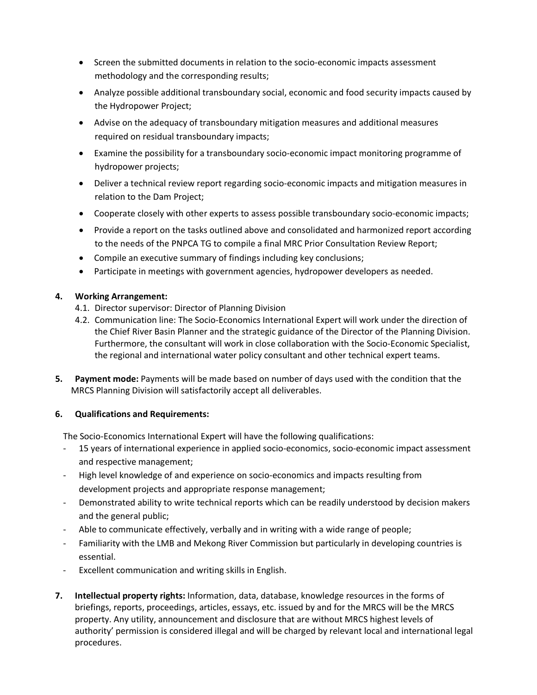- Screen the submitted documents in relation to the socio-economic impacts assessment methodology and the corresponding results;
- Analyze possible additional transboundary social, economic and food security impacts caused by the Hydropower Project;
- Advise on the adequacy of transboundary mitigation measures and additional measures required on residual transboundary impacts;
- Examine the possibility for a transboundary socio-economic impact monitoring programme of hydropower projects;
- Deliver a technical review report regarding socio-economic impacts and mitigation measures in relation to the Dam Project;
- Cooperate closely with other experts to assess possible transboundary socio-economic impacts;
- Provide a report on the tasks outlined above and consolidated and harmonized report according to the needs of the PNPCA TG to compile a final MRC Prior Consultation Review Report;
- Compile an executive summary of findings including key conclusions;
- Participate in meetings with government agencies, hydropower developers as needed.

## **4. Working Arrangement:**

- 4.1. Director supervisor: Director of Planning Division
- 4.2. Communication line: The Socio-Economics International Expert will work under the direction of the Chief River Basin Planner and the strategic guidance of the Director of the Planning Division. Furthermore, the consultant will work in close collaboration with the Socio-Economic Specialist, the regional and international water policy consultant and other technical expert teams.
- **5. Payment mode:** Payments will be made based on number of days used with the condition that the MRCS Planning Division will satisfactorily accept all deliverables.

#### **6. Qualifications and Requirements:**

The Socio-Economics International Expert will have the following qualifications:

- 15 years of international experience in applied socio-economics, socio-economic impact assessment and respective management;
- High level knowledge of and experience on socio-economics and impacts resulting from development projects and appropriate response management;
- Demonstrated ability to write technical reports which can be readily understood by decision makers and the general public;
- Able to communicate effectively, verbally and in writing with a wide range of people;
- Familiarity with the LMB and Mekong River Commission but particularly in developing countries is essential.
- Excellent communication and writing skills in English.
- **7. Intellectual property rights:** Information, data, database, knowledge resources in the forms of briefings, reports, proceedings, articles, essays, etc. issued by and for the MRCS will be the MRCS property. Any utility, announcement and disclosure that are without MRCS highest levels of authority' permission is considered illegal and will be charged by relevant local and international legal procedures.